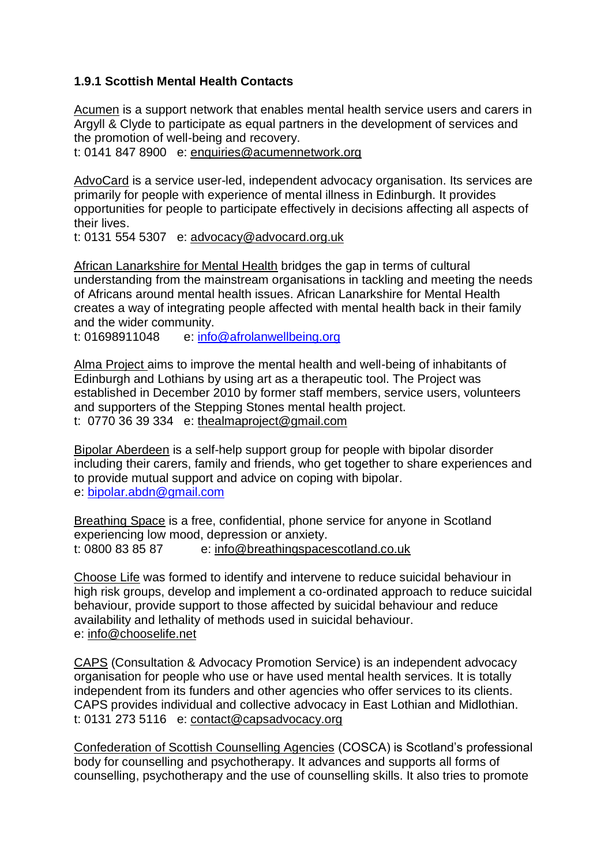## **1.9.1 Scottish Mental Health Contacts**

[Acumen](http://www.acumennetwork.org/) is a support network that enables mental health service users and carers in Argyll & Clyde to participate as equal partners in the development of services and the promotion of well-being and recovery.

t: 0141 847 8900 e: [enquiries@acumennetwork.org](mailto:enquiries@acumennetwork.org)

[AdvoCard](http://www.advocard.org.uk/) is a service user-led, independent advocacy organisation. Its services are primarily for people with experience of mental illness in Edinburgh. It provides opportunities for people to participate effectively in decisions affecting all aspects of their lives.

t: 0131 554 5307 e: [advocacy@advocard.org.uk](mailto:advocacy@advocard.org.uk)

[African Lanarkshire for Mental Health](http://afrolanwellbeing.org/) bridges the gap in terms of cultural understanding from the mainstream organisations in tackling and meeting the needs of Africans around mental health issues. African Lanarkshire for Mental Health creates a way of integrating people affected with mental health back in their family and the wider community.

t: 01698911048 e: [info@afrolanwellbeing.org](mailto:info@afrolanwellbeing.org)

[Alma Project a](https://thealmaproject.wordpress.com/)ims to improve the mental health and well-being of inhabitants of Edinburgh and Lothians by using art as a therapeutic tool. The Project was established in December 2010 by former staff members, service users, volunteers and supporters of the Stepping Stones mental health project. t: 0770 36 39 334 e: [thealmaproject@gmail.com](mailto:thealmaproject@gmail.com)

[Bipolar Aberdeen](http://www.bipolaraberdeen.org.uk/) is a self-help support group for people with bipolar disorder including their carers, family and friends, who get together to share experiences and to provide mutual support and advice on coping with bipolar. e: [bipolar.abdn@gmail.com](mailto:bipolar.abdn@gmail.com)

[Breathing Space](http://breathingspace.scot/) is a free, confidential, phone service for anyone in Scotland experiencing low mood, depression or anxiety. t: [0800 83 85 87](tel:+0800838587) e: [info@breathingspacescotland.co.uk](mailto:info@breathingspacescotland.co.uk)

[Choose Life](http://www.chooselife.net/) was formed to identify and intervene to reduce suicidal behaviour in high risk groups, develop and implement a co-ordinated approach to reduce suicidal behaviour, provide support to those affected by suicidal behaviour and reduce availability and lethality of methods used in suicidal behaviour. e: [info@chooselife.net](mailto:info@chooselife.net)

[CAPS](http://capsadvocacy.org/) (Consultation & Advocacy Promotion Service) is an independent advocacy organisation for people who use or have used mental health services. It is totally independent from its funders and other agencies who offer services to its clients. CAPS provides individual and collective advocacy in East Lothian and Midlothian. t: 0131 273 5116 e: [contact@capsadvocacy.org](mailto:contact@capsadvocacy.org)

[Confederation of Scottish Counselling Agencies](http://www.cosca.org.uk/) (COSCA) is Scotland's professional body for counselling and psychotherapy. It advances and supports all forms of counselling, psychotherapy and the use of counselling skills. It also tries to promote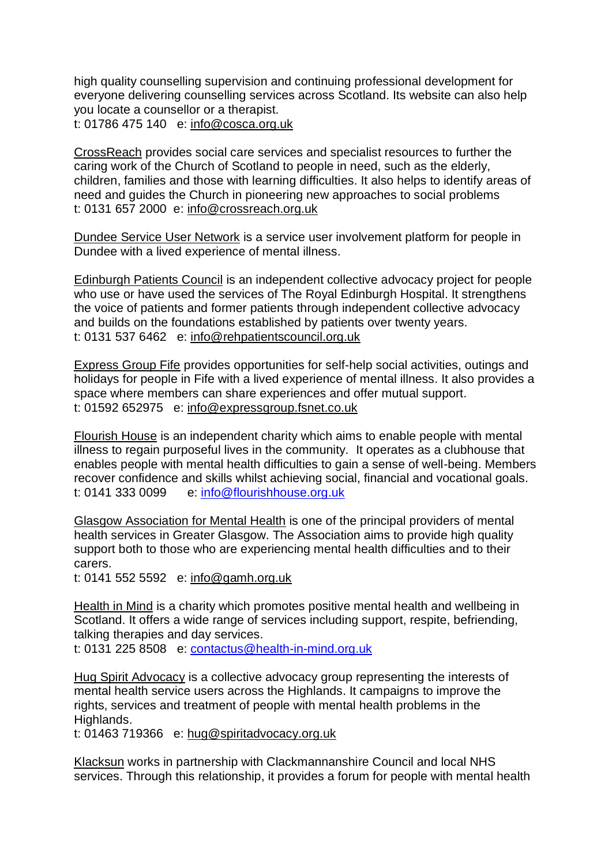high quality counselling supervision and continuing professional development for everyone delivering counselling services across Scotland. Its website can also help you locate a counsellor or a therapist.

t: 01786 475 140 e: [info@cosca.org.uk](mailto:info@cosca.org.uk)

[CrossReach](http://www.crossreach.org.uk/) provides social care services and specialist resources to further the caring work of the Church of Scotland to people in need, such as the elderly, children, families and those with learning difficulties. It also helps to identify areas of need and guides the Church in pioneering new approaches to social problems t: 0131 657 2000 e: [info@crossreach.org.uk](mailto:info@crossreach.org.uk)

[Dundee Service User Network](https://www.facebook.com/pages/Dundee-SUN-Service-User-Network/1410617142540893) is a service user involvement platform for people in Dundee with a lived experience of mental illness.

[Edinburgh Patients Council](http://rehpatientscouncil.org.uk/) is an independent collective advocacy project for people who use or have used the services of The Royal Edinburgh Hospital. It strengthens the voice of patients and former patients through independent collective advocacy and builds on the foundations established by patients over twenty years. t: 0131 537 6462 e: [info@rehpatientscouncil.org.uk](mailto:%20info@rehpatientscouncil.org.uk)

[Express Group Fife](http://www.expressgroupfife.org.uk/) provides opportunities for self-help social activities, outings and holidays for people in Fife with a lived experience of mental illness. It also provides a space where members can share experiences and offer mutual support. t: 01592 652975 e: [info@expressgroup.fsnet.co.uk](mailto:info@expressgroup.fsnet.co.uk)

[Flourish House](https://www.flourishhouse.org.uk/) is an independent charity which aims to enable people with mental illness to regain purposeful lives in the community. It operates as a clubhouse that enables people with mental health difficulties to gain a sense of well-being. Members recover confidence and skills whilst achieving social, financial and vocational goals. t: [0141 333 0099](tel:+44141330099) e: [info@flourishhouse.org.uk](mailto:info@flourishhouse.org.uk)

[Glasgow Association for Mental Health](http://www.gamh.org.uk/) is one of the principal providers of mental health services in Greater Glasgow. The Association aims to provide high quality support both to those who are experiencing mental health difficulties and to their carers.

t: 0141 552 5592 e: [info@gamh.org.uk](mailto:info@gamh.org.uk)

[Health in Mind](http://www.health-in-mind.org.uk/) is a charity which promotes positive mental health and wellbeing in Scotland. It offers a wide range of services including support, respite, befriending, talking therapies and day services.

t: 0131 225 8508 e: [contactus@health-in-mind.org.uk](mailto:contactus@health-in-mind.org.uk) 

[Hug Spirit Advocacy](http://hug.uk.net/index.htm) is a collective advocacy group representing the interests of mental health service users across the Highlands. It campaigns to improve the rights, services and treatment of people with mental health problems in the Highlands.

t: 01463 719366 e: [hug@spiritadvocacy.org.uk](mailto:hug@spiritadvocacy.org.uk)

[Klacksun](http://www.klacksun.org.uk/) works in partnership with Clackmannanshire Council and local NHS services. Through this relationship, it provides a forum for people with mental health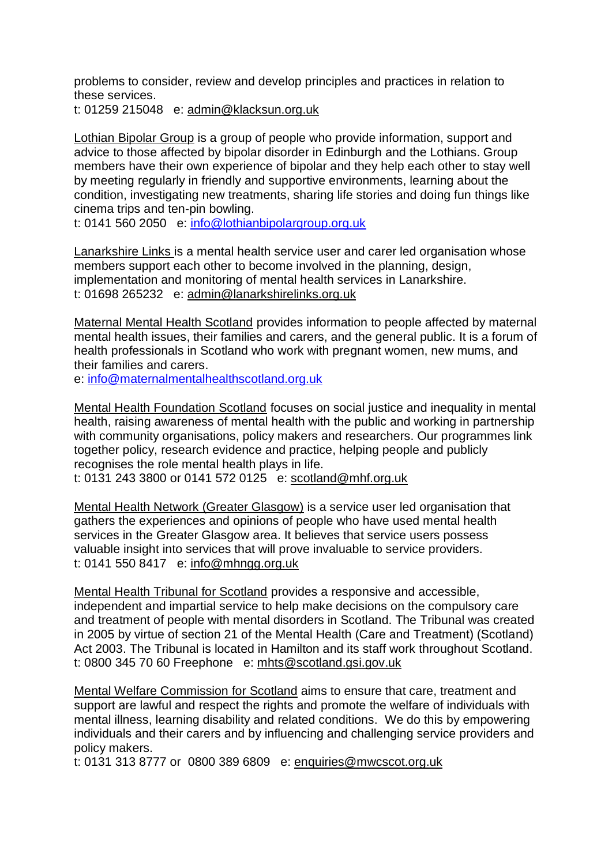problems to consider, review and develop principles and practices in relation to these services.

t: 01259 215048 e: [admin@klacksun.org.uk](mailto:admin@klacksun.org.uk)

[Lothian Bipolar Group](https://lothianbipolargroup.org.uk/) is a group of people who provide information, support and advice to those affected by bipolar disorder in Edinburgh and the Lothians. Group members have their own experience of bipolar and they help each other to stay well by meeting regularly in friendly and supportive environments, learning about the condition, investigating new treatments, sharing life stories and doing fun things like cinema trips and ten-pin bowling.

t: 0141 560 2050 e: [info@lothianbipolargroup.org.uk](mailto:info@lothianbipolargroup.org.uk)

[Lanarkshire Links i](http://lanarkshirelinks.org.uk/)s a mental health service user and carer led organisation whose members support each other to become involved in the planning, design, implementation and monitoring of mental health services in Lanarkshire. t: 01698 265232 e: [admin@lanarkshirelinks.org.uk](mailto:admin@lanarkshirelinks.org.uk)

[Maternal Mental Health Scotland](https://maternalmentalhealthscotland.org.uk/) provides information to people affected by maternal mental health issues, their families and carers, and the general public. It is a forum of health professionals in Scotland who work with pregnant women, new mums, and their families and carers.

e: [info@maternalmentalhealthscotland.org.uk](mailto:info@maternalmentalhealthscotland.org.uk)

[Mental Health Foundation Scotland](http://www.mentalhealth.org.uk/about-us/Scotland) focuses on social justice and inequality in mental health, raising awareness of mental health with the public and working in partnership with community organisations, policy makers and researchers. Our programmes link together policy, research evidence and practice, helping people and publicly recognises the role mental health plays in life.

t: 0131 243 3800 or 0141 572 0125 e: [scotland@mhf.org.uk](mailto:scotland@mhf.org.uk)

[Mental Health Network \(Greater Glasgow\)](http://www.mhngg.org.uk/) is a service user led organisation that gathers the experiences and opinions of people who have used mental health services in the Greater Glasgow area. It believes that service users possess valuable insight into services that will prove invaluable to service providers. t: 0141 550 8417 e: [info@mhngg.org.uk](mailto:info@mhngg.org.uk)

[Mental Health Tribunal for Scotland](http://www.mhtscotland.gov.uk/mhts/Home/Welcome_to_the_Mental_Health_Tribunal) provides a responsive and accessible, independent and impartial service to help make decisions on the compulsory care and treatment of people with mental disorders in Scotland. The Tribunal was created in 2005 by virtue of section 21 of the Mental Health (Care and Treatment) (Scotland) Act 2003. The Tribunal is located in Hamilton and its staff work throughout Scotland. t: 0800 345 70 60 Freephone e: [mhts@scotland.gsi.gov.uk](mailto:mhts@scotland.gsi.gov.uk)

[Mental Welfare Commission for Scotland](http://www.mwcscot.org.uk/) aims to ensure that care, treatment and support are lawful and respect the rights and promote the welfare of individuals with mental illness, learning disability and related conditions. We do this by empowering individuals and their carers and by influencing and challenging service providers and policy makers.

t: 0131 313 8777 or 0800 389 6809 e: [enquiries@mwcscot.org.uk](mailto:enquiries@mwcscot.org.uk)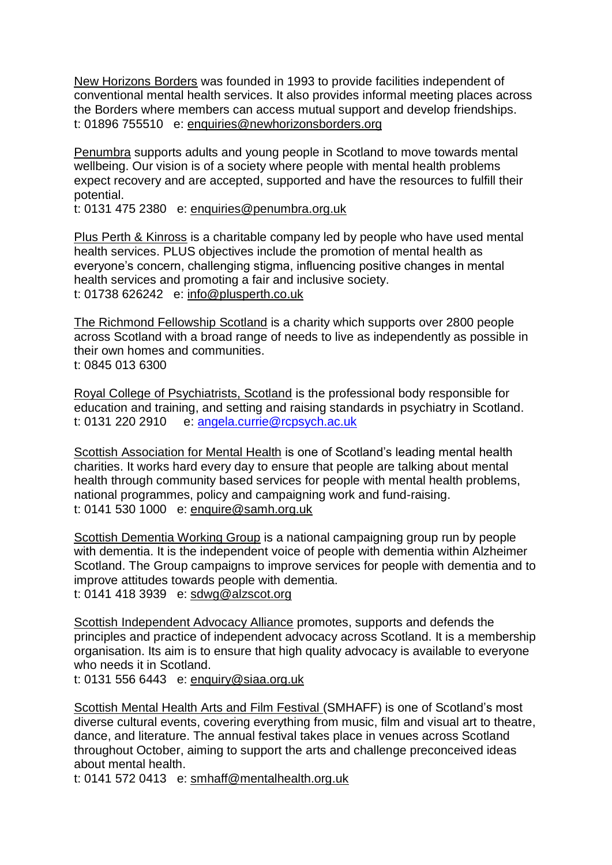[New Horizons Borders](https://www.newhorizonsborders.org/) was founded in 1993 to provide facilities independent of conventional mental health services. It also provides informal meeting places across the Borders where members can access mutual support and develop friendships. t: 01896 755510 e: [enquiries@newhorizonsborders.org](mailto:enquiries@newhorizonsborders.org)

[Penumbra](http://www.penumbra.org.uk/) supports adults and young people in Scotland to move towards mental wellbeing. Our vision is of a society where people with mental health problems expect recovery and are accepted, supported and have the resources to fulfill their potential.

t: 0131 475 2380 e: [enquiries@penumbra.org.uk](mailto:enquiries@penumbra.org.uk)

[Plus Perth & Kinross](http://plusperth.co.uk/) is a charitable company led by people who have used mental health services. PLUS objectives include the promotion of mental health as everyone's concern, challenging stigma, influencing positive changes in mental health services and promoting a fair and inclusive society. t: 01738 626242 e: [info@plusperth.co.uk](mailto:info@plusperth.co.uk)

[The Richmond Fellowship Scotland](https://www.trfs.org.uk/) is a charity which supports over 2800 people across Scotland with a broad range of needs to live as independently as possible in their own homes and communities. t: 0845 013 6300

[Royal College of Psychiatrists, Scotland](http://www.rcpsych.ac.uk/workinpsychiatry/divisions/rcpsychinscotland.aspx) is the professional body responsible for education and training, and setting and raising standards in psychiatry in Scotland. t: 0131 220 2910 e: [angela.currie@rcpsych.ac.uk](mailto:angela.currie@rcpsych.ac.uk)

[Scottish Association for Mental Health](http://www.samh.org.uk/) is one of Scotland's leading mental health charities. It works hard every day to ensure that people are talking about mental health through community based services for people with mental health problems, national programmes, policy and campaigning work and fund-raising. t: 0141 530 1000 e: [enquire@samh.org.uk](mailto:enquire@samh.org.uk)

[Scottish Dementia Working Group](http://www.sdwg.org.uk/) is a national campaigning group run by people with dementia. It is the independent voice of people with dementia within Alzheimer Scotland. The Group campaigns to improve services for people with dementia and to improve attitudes towards people with dementia.

t: 0141 418 3939 e: [sdwg@alzscot.org](mailto:sdwg@alzscot.org)

[Scottish Independent Advocacy Alliance](http://www.siaa.org.uk/) promotes, supports and defends the principles and practice of independent advocacy across Scotland. It is a membership organisation. Its aim is to ensure that high quality advocacy is available to everyone who needs it in Scotland.

t: 0131 556 6443 e: [enquiry@siaa.org.uk](mailto:enquiry@siaa.org.uk)

[Scottish Mental Health Arts and Film Festival \(](http://www.mhfestival.com/)SMHAFF) is one of Scotland's most diverse cultural events, covering everything from music, film and visual art to theatre, dance, and literature. The annual festival takes place in venues across Scotland throughout October, aiming to support the arts and challenge preconceived ideas about mental health.

t: 0141 572 0413 e: [smhaff@mentalhealth.org.uk](mailto:smhaff@mentalhealth.org.uk)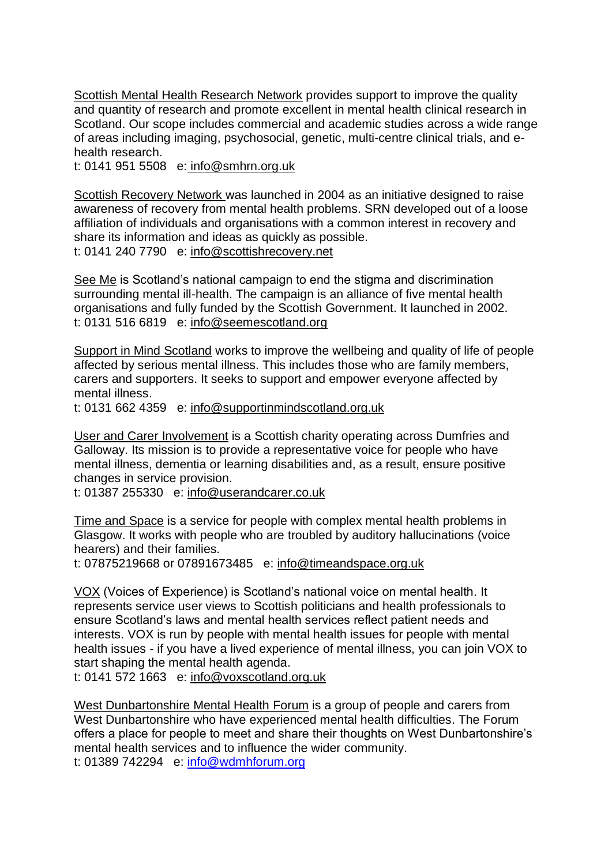[Scottish Mental Health Research Network](http://edspace.org.uk/news/scottish-mental-health-research-network/) provides support to improve the quality and quantity of research and promote excellent in mental health clinical research in Scotland. Our scope includes commercial and academic studies across a wide range of areas including imaging, psychosocial, genetic, multi-centre clinical trials, and ehealth research.

t: 0141 951 5508 e: [info@smhrn.org.uk](mailto:info@smhrn.org.uk)

[Scottish Recovery Network w](http://www.scottishrecovery.net/)as launched in 2004 as an initiative designed to raise awareness of recovery from mental health problems. SRN developed out of a loose affiliation of individuals and organisations with a common interest in recovery and share its information and ideas as quickly as possible. t: 0141 240 7790 e: [info@scottishrecovery.net](mailto:info@scottishrecovery.net)

[See Me](https://www.seemescotland.org/) is Scotland's national campaign to end the stigma and discrimination surrounding mental ill-health. The campaign is an alliance of five mental health organisations and fully funded by the Scottish Government. It launched in 2002. t: 0131 516 6819 e: [info@seemescotland.org](mailto:info@seemescotland.org)

[Support in Mind Scotland](https://www.supportinmindscotland.org.uk/) works to improve the wellbeing and quality of life of people affected by serious mental illness. This includes those who are family members, carers and supporters. It seeks to support and empower everyone affected by mental illness.

t: 0131 662 4359 e: [info@supportinmindscotland.org.uk](mailto:info@supportinmindscotland.org.uk)

[User and Carer Involvement](http://www.userandcarer.co.uk/) is a Scottish charity operating across Dumfries and Galloway. Its mission is to provide a representative voice for people who have mental illness, dementia or learning disabilities and, as a result, ensure positive changes in service provision.

t: 01387 255330 e: [info@userandcarer.co.uk](mailto:info@userandcarer.co.uk)

[Time and Space](http://timeandspace.moonfruit.com/) is a service for people with complex mental health problems in Glasgow. It works with people who are troubled by auditory hallucinations (voice hearers) and their families.

t: 07875219668 or 07891673485 e: [info@timeandspace.org.uk](mailto:info@timeandspace.org.uk)

[VOX](http://voxscotland.org.uk/) (Voices of Experience) is Scotland's national voice on mental health. It represents service user views to Scottish politicians and health professionals to ensure Scotland's laws and mental health services reflect patient needs and interests. VOX is run by people with mental health issues for people with mental health issues - if you have a lived experience of mental illness, you can join VOX to start shaping the mental health agenda.

t: 0141 572 1663 e: [info@voxscotland.org.uk](mailto:info@voxscotland.org.uk)

[West Dunbartonshire Mental Health Forum](http://www.wdmhforum.org.uk/) is a group of people and carers from West Dunbartonshire who have experienced mental health difficulties. The Forum offers a place for people to meet and share their thoughts on West Dunbartonshire's mental health services and to influence the wider community.

t: 01389 742294 e: [info@wdmhforum.org](mailto:info@wdmhforum.org)